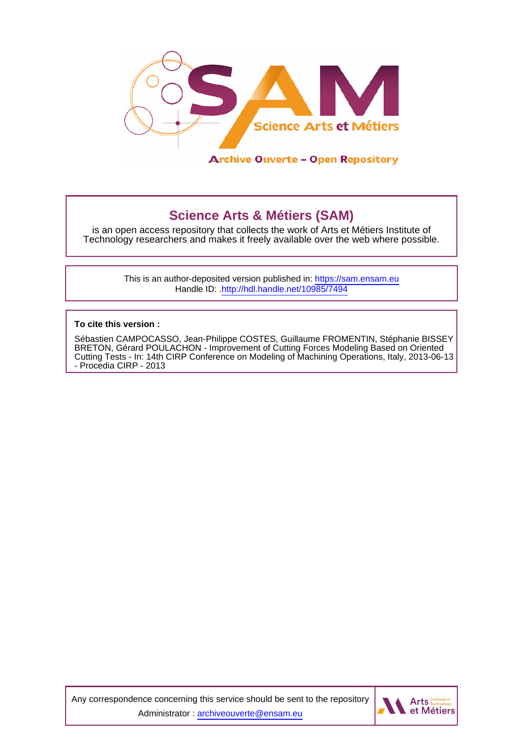

## **Science Arts & Métiers (SAM)**

is an open access repository that collects the work of Arts et Métiers Institute of Technology researchers and makes it freely available over the web where possible.

> This is an author-deposited version published in:<https://sam.ensam.eu> Handle ID: [.http://hdl.handle.net/10985/7494](http://hdl.handle.net/10985/7494)

**To cite this version :**

Sébastien CAMPOCASSO, Jean-Philippe COSTES, Guillaume FROMENTIN, Stéphanie BISSEY BRETON, Gérard POULACHON - Improvement of Cutting Forces Modeling Based on Oriented Cutting Tests - In: 14th CIRP Conference on Modeling of Machining Operations, Italy, 2013-06-13 - Procedia CIRP - 2013

Any correspondence concerning this service should be sent to the repository Administrator : [archiveouverte@ensam.eu](mailto:archiveouverte@ensam.eu)

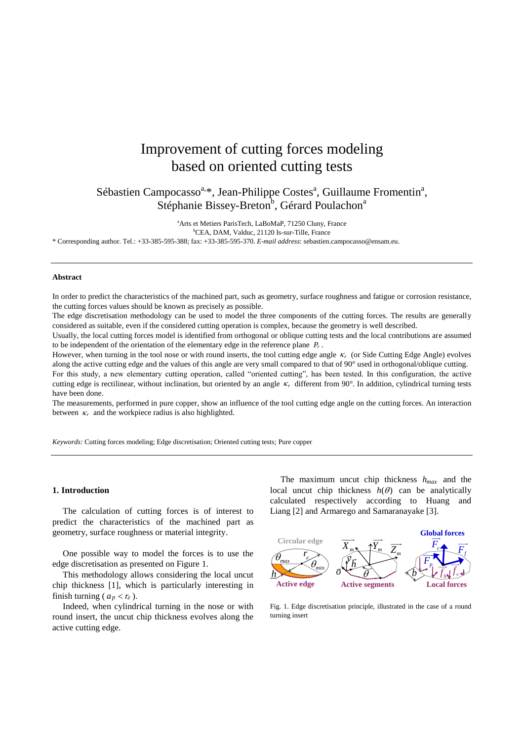# Improvement of cutting forces modeling based on oriented cutting tests

Sébastien Campocasso<sup>a,\*</sup>, Jean-Philippe Costes<sup>a</sup>, Guillaume Fromentin<sup>a</sup>, Stéphanie Bissey-Breton<sup>b</sup>, Gérard Poulachon<sup>a</sup>

<sup>a</sup>Arts et Metiers ParisTech, LaBoMaP, 71250 Cluny, France

<sup>b</sup>CEA, DAM, Valduc, 21120 Is-sur-Tille, France

\* Corresponding author. Tel.: +33-385-595-388; fax: +33-385-595-370. *E-mail address*[: sebastien.campocasso@ensam.eu.](mailto:sebastien.campocasso@ensam.eu)

## **Abstract**

In order to predict the characteristics of the machined part, such as geometry, surface roughness and fatigue or corrosion resistance, the cutting forces values should be known as precisely as possible.

The edge discretisation methodology can be used to model the three components of the cutting forces. The results are generally considered as suitable, even if the considered cutting operation is complex, because the geometry is well described.

Usually, the local cutting forces model is identified from orthogonal or oblique cutting tests and the local contributions are assumed to be independent of the orientation of the elementary edge in the reference plane *Pr* .

However, when turning in the tool nose or with round inserts, the tool cutting edge angle  $\kappa_r$  (or Side Cutting Edge Angle) evolves along the active cutting edge and the values of this angle are very small compared to that of 90° used in orthogonal/oblique cutting. For this study, a new elementary cutting operation, called "oriented cutting", has been tested. In this configuration, the active

cutting edge is rectilinear, without inclination, but oriented by an angle  $\kappa_r$  different from 90 $^{\circ}$ . In addition, cylindrical turning tests have been done.

The measurements, performed in pure copper, show an influence of the tool cutting edge angle on the cutting forces. An interaction between  $\kappa_r$  and the workpiece radius is also highlighted.

*Keywords:* Cutting forces modeling; Edge discretisation; Oriented cutting tests; Pure copper

#### **1. Introduction**

The calculation of cutting forces is of interest to predict the characteristics of the machined part as geometry, surface roughness or material integrity.

One possible way to model the forces is to use the edge discretisation as presented on Figure 1.

This methodology allows considering the local uncut chip thickness [1], which is particularly interesting in finish turning ( $a_p < r_{\varepsilon}$ ).

Indeed, when cylindrical turning in the nose or with round insert, the uncut chip thickness evolves along the active cutting edge.

The maximum uncut chip thickness *hmax* and the local uncut chip thickness  $h(\theta)$  can be analytically calculated respectively according to Huang and Liang [2] and Armarego and Samaranayake [3].



Fig. 1. Edge discretisation principle, illustrated in the case of a round turning insert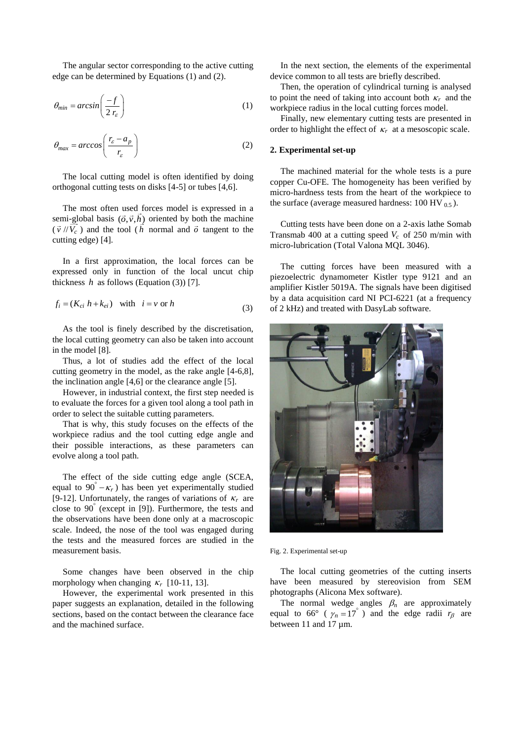The angular sector corresponding to the active cutting edge can be determined by Equations (1) and (2).

$$
\theta_{\min} = \arcsin\left(\frac{-f}{2 \, r_{\varepsilon}}\right) \tag{1}
$$

$$
\theta_{\text{max}} = \arccos\left(\frac{r_{\varepsilon} - a_p}{r_{\varepsilon}}\right) \tag{2}
$$

The local cutting model is often identified by doing orthogonal cutting tests on disks [4-5] or tubes [4,6].

The most often used forces model is expressed in a semi-global basis  $(\vec{o}, \vec{v}, h)$  oriented by both the machine  $(\vec{v}$  // $V_c$ ) and the tool (*h* normal and  $\vec{o}$  tangent to the cutting edge) [4].

In a first approximation, the local forces can be expressed only in function of the local uncut chip thickness  $h$  as follows (Equation (3)) [7].

$$
f_i = (K_{ci} h + k_{ei}) \quad \text{with} \quad i = v \text{ or } h
$$
 (3)

As the tool is finely described by the discretisation, the local cutting geometry can also be taken into account in the model [8].

Thus, a lot of studies add the effect of the local cutting geometry in the model, as the rake angle [4-6,8], the inclination angle [4,6] or the clearance angle [5].

However, in industrial context, the first step needed is to evaluate the forces for a given tool along a tool path in order to select the suitable cutting parameters.

That is why, this study focuses on the effects of the workpiece radius and the tool cutting edge angle and their possible interactions, as these parameters can evolve along a tool path.

The effect of the side cutting edge angle (SCEA, equal to  $90^\circ - \kappa_r$ ) has been yet experimentally studied [9-12]. Unfortunately, the ranges of variations of  $\kappa_r$  are close to 90 (except in [9]). Furthermore, the tests and the observations have been done only at a macroscopic scale. Indeed, the nose of the tool was engaged during the tests and the measured forces are studied in the measurement basis.

Some changes have been observed in the chip morphology when changing  $\kappa_r$  [10-11, 13].

However, the experimental work presented in this paper suggests an explanation, detailed in the following sections, based on the contact between the clearance face and the machined surface.

In the next section, the elements of the experimental device common to all tests are briefly described.

Then, the operation of cylindrical turning is analysed to point the need of taking into account both  $\kappa_r$  and the workpiece radius in the local cutting forces model.

Finally, new elementary cutting tests are presented in order to highlight the effect of  $\kappa_r$  at a mesoscopic scale.

## **2. Experimental set-up**

The machined material for the whole tests is a pure copper Cu-OFE. The homogeneity has been verified by micro-hardness tests from the heart of the workpiece to the surface (average measured hardness:  $100 \text{ HV}_{0.5}$ ).

Cutting tests have been done on a 2-axis lathe Somab Transmab 400 at a cutting speed  $V_c$  of 250 m/min with micro-lubrication (Total Valona MQL 3046).

The cutting forces have been measured with a piezoelectric dynamometer Kistler type 9121 and an amplifier Kistler 5019A. The signals have been digitised by a data acquisition card NI PCI-6221 (at a frequency of 2 kHz) and treated with DasyLab software.



Fig. 2. Experimental set-up

The local cutting geometries of the cutting inserts have been measured by stereovision from SEM photographs (Alicona Mex software).

The normal wedge angles  $\beta_n$  are approximately equal to 66° ( $\gamma_n = 17$ °) and the edge radii  $r_\beta$  are between 11 and 17 µm.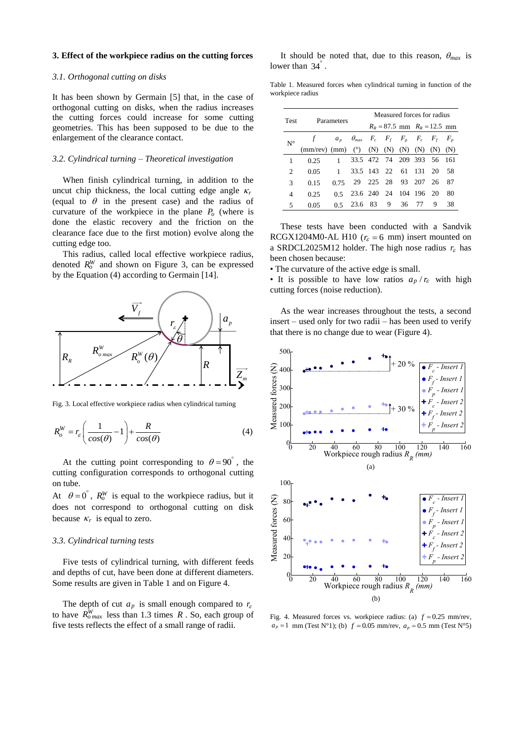## **3. Effect of the workpiece radius on the cutting forces**

#### *3.1. Orthogonal cutting on disks*

It has been shown by Germain [5] that, in the case of orthogonal cutting on disks, when the radius increases the cutting forces could increase for some cutting geometries. This has been supposed to be due to the enlargement of the clearance contact.

#### *3.2. Cylindrical turning – Theoretical investigation*

When finish cylindrical turning, in addition to the uncut chip thickness, the local cutting edge angle  $\kappa$ , (equal to  $\theta$  in the present case) and the radius of curvature of the workpiece in the plane  $P<sub>o</sub>$  (where is done the elastic recovery and the friction on the clearance face due to the first motion) evolve along the cutting edge too.

This radius, called local effective workpiece radius, denoted  $R_o^W$  and shown on Figure 3, can be expressed by the Equation (4) according to Germain [14].



Fig. 3. Local effective workpiece radius when cylindrical turning

$$
R_o^W = r_\varepsilon \left( \frac{1}{\cos(\theta)} - 1 \right) + \frac{R}{\cos(\theta)} \tag{4}
$$

At the cutting point corresponding to  $\theta = 90^\circ$ , the cutting configuration corresponds to orthogonal cutting on tube.

At  $\theta = 0^{\degree}$ ,  $R_o^W$  is equal to the workpiece radius, but it does not correspond to orthogonal cutting on disk because  $\kappa_r$  is equal to zero.

## *3.3. Cylindrical turning tests*

Five tests of cylindrical turning, with different feeds and depths of cut, have been done at different diameters. Some results are given in Table 1 and on Figure 4.

The depth of cut  $a_p$  is small enough compared to  $r_\varepsilon$ to have  $R_{\text{O max}}^W$  less than 1.3 times R. So, each group of five tests reflects the effect of a small range of radii.

It should be noted that, due to this reason,  $\theta_{max}$  is lower than  $34^\circ$ .

Table 1. Measured forces when cylindrical turning in function of the workpiece radius

| Test                          | Parameters                       |              |                                                          | Measured forces for radius |     |     |                                 |     |     |
|-------------------------------|----------------------------------|--------------|----------------------------------------------------------|----------------------------|-----|-----|---------------------------------|-----|-----|
|                               |                                  |              |                                                          |                            |     |     | $R_R = 87.5$ mm $R_R = 12.5$ mm |     |     |
| $N^{\circ}$                   |                                  |              | $a_p$ $\theta_{max}$ $F_c$ $F_f$ $F_p$ $F_c$ $F_f$ $F_p$ |                            |     |     |                                 |     |     |
|                               | $(mm$ /rev) $(mm)$ ( $\degree$ ) |              |                                                          | (N)                        | (N) | (N) | (N)                             | (N) | (N) |
|                               | 0.25                             | $\mathbf{1}$ |                                                          | 33.5 472 74 209 393 56 161 |     |     |                                 |     |     |
| $\mathfrak{D}_{\mathfrak{p}}$ | 0.05                             | 1            |                                                          | 33.5 143 22 61 131 20      |     |     |                                 |     | -58 |
| 3                             | 0.15                             | 0.75         |                                                          | 29 225 28                  |     |     | 93 207                          | 26  | 87  |
| 4                             | 0.25                             | 0.5          |                                                          | 23.6 240 24 104 196        |     |     |                                 | -20 | 80  |
| 5                             | 0.05                             | 0.5          |                                                          | 23.6 83                    | 9   | 36  | 77                              | 9   | 38  |

These tests have been conducted with a Sandvik RCGX1204M0-AL H10 ( $r<sub>\epsilon</sub> = 6$  mm) insert mounted on a SRDCL2025M12 holder. The high nose radius  $r_{\varepsilon}$  has been chosen because:

• The curvature of the active edge is small.

• It is possible to have low ratios  $a_p / r_{\varepsilon}$  with high cutting forces (noise reduction).

As the wear increases throughout the tests, a second insert – used only for two radii – has been used to verify that there is no change due to wear (Figure 4).



Fig. 4. Measured forces vs. workpiece radius: (a)  $f = 0.25$  mm/rev,  $a_p = 1$  mm (Test N°1); (b)  $f = 0.05$  mm/rev,  $a_p = 0.5$  mm (Test N°5)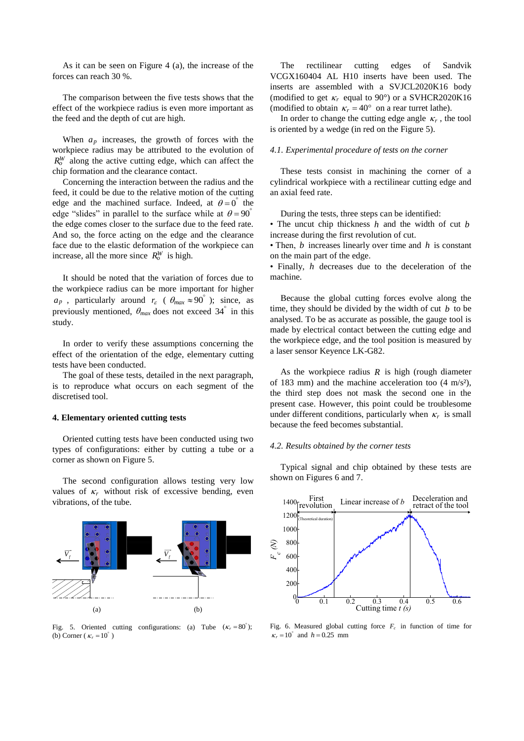As it can be seen on Figure 4 (a), the increase of the forces can reach 30 %.

The comparison between the five tests shows that the effect of the workpiece radius is even more important as the feed and the depth of cut are high.

When  $a_p$  increases, the growth of forces with the workpiece radius may be attributed to the evolution of  $R_o^W$  along the active cutting edge, which can affect the chip formation and the clearance contact.

Concerning the interaction between the radius and the feed, it could be due to the relative motion of the cutting edge and the machined surface. Indeed, at  $\theta = 0^{\degree}$  the edge "slides" in parallel to the surface while at  $\theta = 90^\circ$ the edge comes closer to the surface due to the feed rate. And so, the force acting on the edge and the clearance face due to the elastic deformation of the workpiece can increase, all the more since  $R_o^W$  is high.

It should be noted that the variation of forces due to the workpiece radius can be more important for higher  $a_p$ , particularly around  $r_\varepsilon$  ( $\theta_{max} \approx 90^\circ$ ); since, as previously mentioned,  $\theta_{max}$  does not exceed  $34^{\degree}$  in this study.

In order to verify these assumptions concerning the effect of the orientation of the edge, elementary cutting tests have been conducted.

The goal of these tests, detailed in the next paragraph, is to reproduce what occurs on each segment of the discretised tool.

### **4. Elementary oriented cutting tests**

Oriented cutting tests have been conducted using two types of configurations: either by cutting a tube or a corner as shown on Figure 5.

The second configuration allows testing very low values of  $\kappa_r$  without risk of excessive bending, even vibrations, of the tube.



Fig. 5. Oriented cutting configurations: (a) Tube  $(\kappa_r = 80^\circ)$ ; (b) Corner ( $\kappa_r = 10^\circ$ )

The rectilinear cutting edges of Sandvik VCGX160404 AL H10 inserts have been used. The inserts are assembled with a SVJCL2020K16 body (modified to get  $\kappa_r$  equal to 90°) or a SVHCR2020K16 (modified to obtain  $\kappa_r = 40^\circ$  on a rear turret lathe).

In order to change the cutting edge angle  $\kappa_r$ , the tool is oriented by a wedge (in red on the Figure 5).

## *4.1. Experimental procedure of tests on the corner*

These tests consist in machining the corner of a cylindrical workpiece with a rectilinear cutting edge and an axial feed rate.

During the tests, three steps can be identified:

• The uncut chip thickness *h* and the width of cut *b* increase during the first revolution of cut.

• Then, *b* increases linearly over time and *h* is constant on the main part of the edge.

• Finally, *h* decreases due to the deceleration of the machine.

Because the global cutting forces evolve along the time, they should be divided by the width of cut *b* to be analysed. To be as accurate as possible, the gauge tool is made by electrical contact between the cutting edge and the workpiece edge, and the tool position is measured by a laser sensor Keyence LK-G82.

As the workpiece radius  $R$  is high (rough diameter of 183 mm) and the machine acceleration too  $(4 \text{ m/s}^2)$ , the third step does not mask the second one in the present case. However, this point could be troublesome under different conditions, particularly when  $\kappa_r$  is small because the feed becomes substantial.

#### *4.2. Results obtained by the corner tests*

Typical signal and chip obtained by these tests are shown on Figures 6 and 7.



Fig. 6. Measured global cutting force  $F_c$  in function of time for  $r_r = 10^{\circ}$  and  $h = 0.25$  mm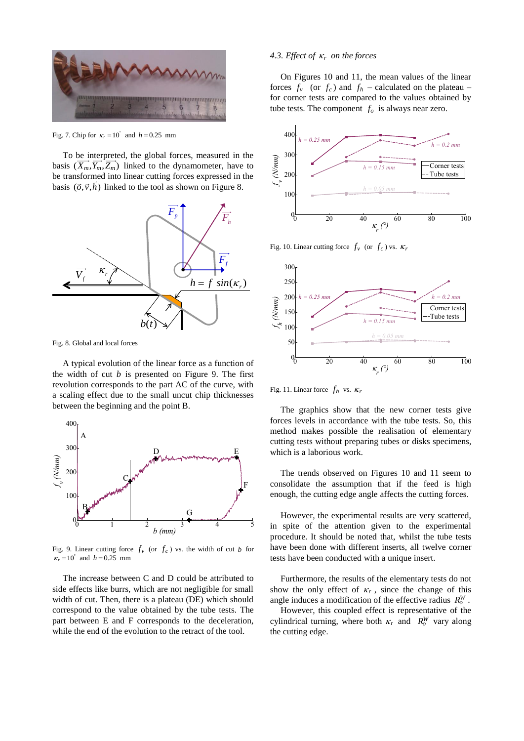

Fig. 7. Chip for  $\kappa_r = 10^\circ$  and  $h = 0.25$  mm

To be interpreted, the global forces, measured in the basis  $(X_m, Y_m, Z_m)$  linked to the dynamometer, have to be transformed into linear cutting forces expressed in the basis  $(\vec{o}, \vec{v}, h)$  linked to the tool as shown on Figure 8.



Fig. 8. Global and local forces

A typical evolution of the linear force as a function of the width of cut  $b$  is presented on Figure 9. The first revolution corresponds to the part AC of the curve, with a scaling effect due to the small uncut chip thicknesses between the beginning and the point B.



Fig. 9. Linear cutting force  $f_v$  (or  $f_c$ ) vs. the width of cut *b* for  $r_r = 10^{\degree}$  and  $h = 0.25$  mm

The increase between C and D could be attributed to side effects like burrs, which are not negligible for small width of cut. Then, there is a plateau (DE) which should correspond to the value obtained by the tube tests. The part between E and F corresponds to the deceleration, while the end of the evolution to the retract of the tool.

## *4.3. Effect of r on the forces*

On Figures 10 and 11, the mean values of the linear forces  $f_v$  (or  $f_c$ ) and  $f_h$  – calculated on the plateau – for corner tests are compared to the values obtained by tube tests. The component  $f<sub>o</sub>$  is always near zero.



Fig. 10. Linear cutting force  $f_v$  (or  $f_c$ ) vs.  $\kappa_i$ 



Fig. 11. Linear force  $f_h$  vs.  $\kappa_l$ 

The graphics show that the new corner tests give forces levels in accordance with the tube tests. So, this method makes possible the realisation of elementary cutting tests without preparing tubes or disks specimens, which is a laborious work.

The trends observed on Figures 10 and 11 seem to consolidate the assumption that if the feed is high enough, the cutting edge angle affects the cutting forces.

However, the experimental results are very scattered, in spite of the attention given to the experimental procedure. It should be noted that, whilst the tube tests have been done with different inserts, all twelve corner tests have been conducted with a unique insert.

Furthermore, the results of the elementary tests do not show the only effect of  $\kappa_r$ , since the change of this angle induces a modification of the effective radius  $R_o^W$ .

However, this coupled effect is representative of the cylindrical turning, where both  $\kappa_r$  and  $R_o^W$  vary along the cutting edge.